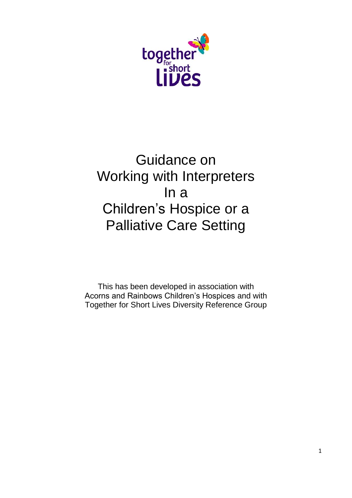

# Guidance on Working with Interpreters In a Children's Hospice or a Palliative Care Setting

This has been developed in association with Acorns and Rainbows Children's Hospices and with Together for Short Lives Diversity Reference Group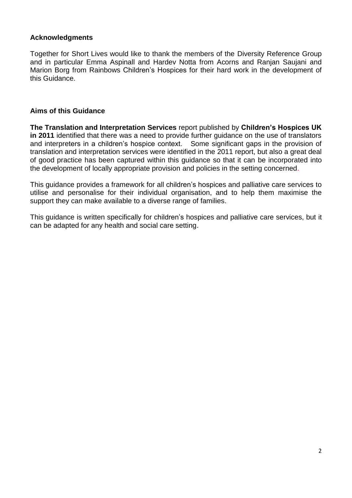## **Acknowledgments**

Together for Short Lives would like to thank the members of the Diversity Reference Group and in particular Emma Aspinall and Hardev Notta from Acorns and Ranjan Saujani and Marion Borg from Rainbows Children's Hospices for their hard work in the development of this Guidance.

## **Aims of this Guidance**

**The Translation and Interpretation Services** report published by **Children's Hospices UK in 2011** identified that there was a need to provide further guidance on the use of translators and interpreters in a children's hospice context. Some significant gaps in the provision of translation and interpretation services were identified in the 2011 report, but also a great deal of good practice has been captured within this guidance so that it can be incorporated into the development of locally appropriate provision and policies in the setting concerned.

This guidance provides a framework for all children's hospices and palliative care services to utilise and personalise for their individual organisation, and to help them maximise the support they can make available to a diverse range of families.

This guidance is written specifically for children's hospices and palliative care services, but it can be adapted for any health and social care setting.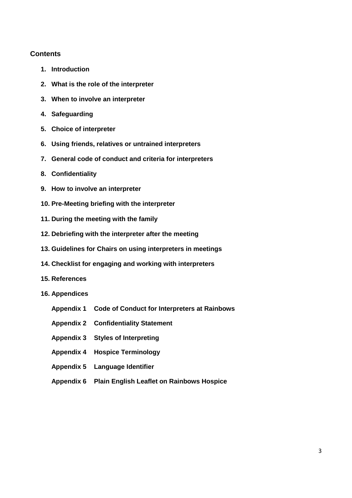## **Contents**

- **1. Introduction**
- **2. What is the role of the interpreter**
- **3. When to involve an interpreter**
- **4. Safeguarding**
- **5. Choice of interpreter**
- **6. Using friends, relatives or untrained interpreters**
- **7. General code of conduct and criteria for interpreters**
- **8. Confidentiality**
- **9. How to involve an interpreter**
- **10. Pre-Meeting briefing with the interpreter**
- **11. During the meeting with the family**
- **12. Debriefing with the interpreter after the meeting**
- **13. Guidelines for Chairs on using interpreters in meetings**
- **14. Checklist for engaging and working with interpreters**
- **15. References**
- **16. Appendices**
	- **Appendix 1 Code of Conduct for Interpreters at Rainbows**
	- **Appendix 2 Confidentiality Statement**
	- **Appendix 3 Styles of Interpreting**
	- **Appendix 4 Hospice Terminology**
	- **Appendix 5 Language Identifier**
	- **Appendix 6 Plain English Leaflet on Rainbows Hospice**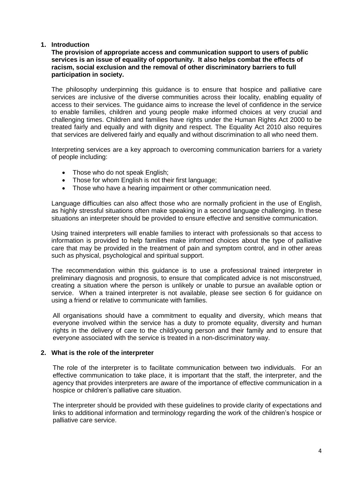## **1. Introduction**

## **The provision of appropriate access and communication support to users of public services is an issue of equality of opportunity. It also helps combat the effects of racism, social exclusion and the removal of other discriminatory barriers to full participation in society.**

The philosophy underpinning this guidance is to ensure that hospice and palliative care services are inclusive of the diverse communities across their locality, enabling equality of access to their services. The guidance aims to increase the level of confidence in the service to enable families, children and young people make informed choices at very crucial and challenging times. Children and families have rights under the Human Rights Act 2000 to be treated fairly and equally and with dignity and respect. The Equality Act 2010 also requires that services are delivered fairly and equally and without discrimination to all who need them.

Interpreting services are a key approach to overcoming communication barriers for a variety of people including:

- Those who do not speak English;
- Those for whom English is not their first language;
- Those who have a hearing impairment or other communication need.

Language difficulties can also affect those who are normally proficient in the use of English, as highly stressful situations often make speaking in a second language challenging. In these situations an interpreter should be provided to ensure effective and sensitive communication.

Using trained interpreters will enable families to interact with professionals so that access to information is provided to help families make informed choices about the type of palliative care that may be provided in the treatment of pain and symptom control, and in other areas such as physical, psychological and spiritual support.

The recommendation within this guidance is to use a professional trained interpreter in preliminary diagnosis and prognosis, to ensure that complicated advice is not misconstrued, creating a situation where the person is unlikely or unable to pursue an available option or service. When a trained interpreter is not available, please see section 6 for guidance on using a friend or relative to communicate with families.

All organisations should have a commitment to equality and diversity, which means that everyone involved within the service has a duty to promote equality, diversity and human rights in the delivery of care to the child/young person and their family and to ensure that everyone associated with the service is treated in a non-discriminatory way.

## **2. What is the role of the interpreter**

The role of the interpreter is to facilitate communication between two individuals. For an effective communication to take place, it is important that the staff, the interpreter, and the agency that provides interpreters are aware of the importance of effective communication in a hospice or children's palliative care situation.

The interpreter should be provided with these guidelines to provide clarity of expectations and links to additional information and terminology regarding the work of the children's hospice or palliative care service.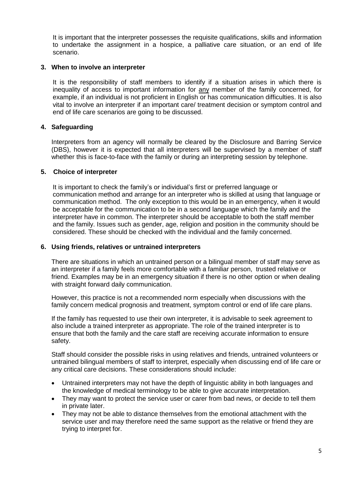It is important that the interpreter possesses the requisite qualifications, skills and information to undertake the assignment in a hospice, a palliative care situation, or an end of life scenario.

#### **3. When to involve an interpreter**

It is the responsibility of staff members to identify if a situation arises in which there is inequality of access to important information for any member of the family concerned, for example, if an individual is not proficient in English or has communication difficulties. It is also vital to involve an interpreter if an important care/ treatment decision or symptom control and end of life care scenarios are going to be discussed.

## **4. Safeguarding**

Interpreters from an agency will normally be cleared by the Disclosure and Barring Service (DBS), however it is expected that all interpreters will be supervised by a member of staff whether this is face-to-face with the family or during an interpreting session by telephone.

## **5. Choice of interpreter**

It is important to check the family's or individual's first or preferred language or communication method and arrange for an interpreter who is skilled at using that language or communication method. The only exception to this would be in an emergency, when it would be acceptable for the communication to be in a second language which the family and the interpreter have in common. The interpreter should be acceptable to both the staff member and the family. Issues such as gender, age, religion and position in the community should be considered. These should be checked with the individual and the family concerned.

### **6. Using friends, relatives or untrained interpreters**

There are situations in which an untrained person or a bilingual member of staff may serve as an interpreter if a family feels more comfortable with a familiar person, trusted relative or friend. Examples may be in an emergency situation if there is no other option or when dealing with straight forward daily communication.

However, this practice is not a recommended norm especially when discussions with the family concern medical prognosis and treatment, symptom control or end of life care plans.

If the family has requested to use their own interpreter, it is advisable to seek agreement to also include a trained interpreter as appropriate. The role of the trained interpreter is to ensure that both the family and the care staff are receiving accurate information to ensure safety.

Staff should consider the possible risks in using relatives and friends, untrained volunteers or untrained bilingual members of staff to interpret, especially when discussing end of life care or any critical care decisions. These considerations should include:

- Untrained interpreters may not have the depth of linguistic ability in both languages and the knowledge of medical terminology to be able to give accurate interpretation.
- They may want to protect the service user or carer from bad news, or decide to tell them in private later.
- They may not be able to distance themselves from the emotional attachment with the service user and may therefore need the same support as the relative or friend they are trying to interpret for.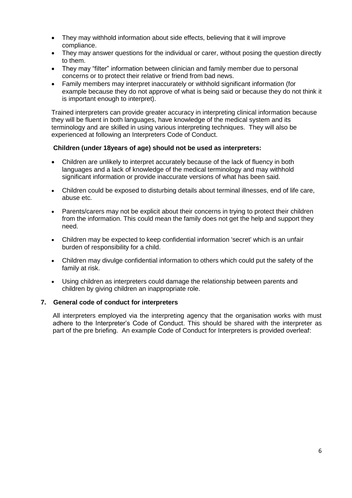- They may withhold information about side effects, believing that it will improve compliance.
- They may answer questions for the individual or carer, without posing the question directly to them.
- They may "filter" information between clinician and family member due to personal concerns or to protect their relative or friend from bad news.
- Family members may interpret inaccurately or withhold significant information (for example because they do not approve of what is being said or because they do not think it is important enough to interpret).

Trained interpreters can provide greater accuracy in interpreting clinical information because they will be fluent in both languages, have knowledge of the medical system and its terminology and are skilled in using various interpreting techniques. They will also be experienced at following an Interpreters Code of Conduct.

## **Children (under 18years of age) should not be used as interpreters:**

- Children are unlikely to interpret accurately because of the lack of fluency in both languages and a lack of knowledge of the medical terminology and may withhold significant information or provide inaccurate versions of what has been said.
- Children could be exposed to disturbing details about terminal illnesses, end of life care, abuse etc.
- Parents/carers may not be explicit about their concerns in trying to protect their children from the information. This could mean the family does not get the help and support they need.
- Children may be expected to keep confidential information 'secret' which is an unfair burden of responsibility for a child.
- Children may divulge confidential information to others which could put the safety of the family at risk.
- Using children as interpreters could damage the relationship between parents and children by giving children an inappropriate role.

## **7. General code of conduct for interpreters**

All interpreters employed via the interpreting agency that the organisation works with must adhere to the Interpreter's Code of Conduct. This should be shared with the interpreter as part of the pre briefing. An example Code of Conduct for Interpreters is provided overleaf: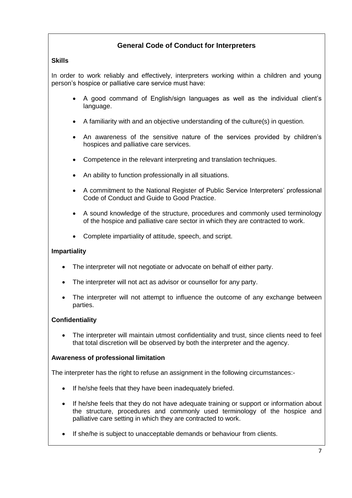## **General Code of Conduct for Interpreters**

## **Skills**

In order to work reliably and effectively, interpreters working within a children and young person's hospice or palliative care service must have:

- A good command of English/sign languages as well as the individual client's language.
- A familiarity with and an objective understanding of the culture(s) in question.
- An awareness of the sensitive nature of the services provided by children's hospices and palliative care services.
- Competence in the relevant interpreting and translation techniques.
- An ability to function professionally in all situations.
- A commitment to the National Register of Public Service Interpreters' professional Code of Conduct and Guide to Good Practice.
- A sound knowledge of the structure, procedures and commonly used terminology of the hospice and palliative care sector in which they are contracted to work.
- Complete impartiality of attitude, speech, and script.

## **Impartiality**

- The interpreter will not negotiate or advocate on behalf of either party.
- The interpreter will not act as advisor or counsellor for any party.
- The interpreter will not attempt to influence the outcome of any exchange between parties.

## **Confidentiality**

 The interpreter will maintain utmost confidentiality and trust, since clients need to feel that total discretion will be observed by both the interpreter and the agency.

## **Awareness of professional limitation**

The interpreter has the right to refuse an assignment in the following circumstances:-

- If he/she feels that they have been inadequately briefed.
- If he/she feels that they do not have adequate training or support or information about the structure, procedures and commonly used terminology of the hospice and palliative care setting in which they are contracted to work.
- If she/he is subject to unacceptable demands or behaviour from clients.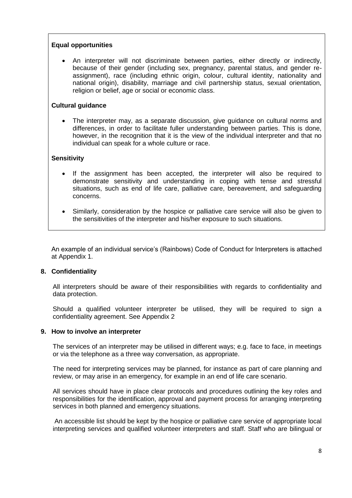## **Equal opportunities**

 An interpreter will not discriminate between parties, either directly or indirectly, because of their gender (including sex, pregnancy, parental status, and gender reassignment), race (including ethnic origin, colour, cultural identity, nationality and national origin), disability, marriage and civil partnership status, sexual orientation, religion or belief, age or social or economic class.

### **Cultural guidance**

• The interpreter may, as a separate discussion, give guidance on cultural norms and differences, in order to facilitate fuller understanding between parties. This is done, however, in the recognition that it is the view of the individual interpreter and that no individual can speak for a whole culture or race.

## **Sensitivity**

- If the assignment has been accepted, the interpreter will also be required to demonstrate sensitivity and understanding in coping with tense and stressful situations, such as end of life care, palliative care, bereavement, and safeguarding concerns.
- Similarly, consideration by the hospice or palliative care service will also be given to the sensitivities of the interpreter and his/her exposure to such situations.

An example of an individual service's (Rainbows) Code of Conduct for Interpreters is attached at Appendix 1.

#### **8. Confidentiality**

All interpreters should be aware of their responsibilities with regards to confidentiality and data protection.

Should a qualified volunteer interpreter be utilised, they will be required to sign a confidentiality agreement. See Appendix 2

#### **9. How to involve an interpreter**

The services of an interpreter may be utilised in different ways; e.g. face to face, in meetings or via the telephone as a three way conversation, as appropriate.

The need for interpreting services may be planned, for instance as part of care planning and review, or may arise in an emergency, for example in an end of life care scenario.

All services should have in place clear protocols and procedures outlining the key roles and responsibilities for the identification, approval and payment process for arranging interpreting services in both planned and emergency situations.

An accessible list should be kept by the hospice or palliative care service of appropriate local interpreting services and qualified volunteer interpreters and staff. Staff who are bilingual or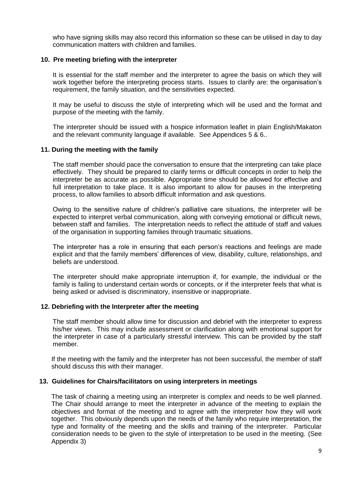who have signing skills may also record this information so these can be utilised in day to day communication matters with children and families.

#### **10. Pre meeting briefing with the interpreter**

It is essential for the staff member and the interpreter to agree the basis on which they will work together before the interpreting process starts. Issues to clarify are: the organisation's requirement, the family situation, and the sensitivities expected.

It may be useful to discuss the style of interpreting which will be used and the format and purpose of the meeting with the family.

The interpreter should be issued with a hospice information leaflet in plain English/Makaton and the relevant community language if available. See Appendices 5 & 6..

#### **11. During the meeting with the family**

The staff member should pace the conversation to ensure that the interpreting can take place effectively. They should be prepared to clarify terms or difficult concepts in order to help the interpreter be as accurate as possible. Appropriate time should be allowed for effective and full interpretation to take place. It is also important to allow for pauses in the interpreting process, to allow families to absorb difficult information and ask questions.

Owing to the sensitive nature of children's palliative care situations, the interpreter will be expected to interpret verbal communication, along with conveying emotional or difficult news, between staff and families. The interpretation needs to reflect the attitude of staff and values of the organisation in supporting families through traumatic situations.

The interpreter has a role in ensuring that each person's reactions and feelings are made explicit and that the family members' differences of view, disability, culture, relationships, and beliefs are understood.

The interpreter should make appropriate interruption if, for example, the individual or the family is failing to understand certain words or concepts, or if the interpreter feels that what is being asked or advised is discriminatory, insensitive or inappropriate.

#### **12. Debriefing with the Interpreter after the meeting**

The staff member should allow time for discussion and debrief with the interpreter to express his/her views. This may include assessment or clarification along with emotional support for the interpreter in case of a particularly stressful interview. This can be provided by the staff member.

If the meeting with the family and the interpreter has not been successful, the member of staff should discuss this with their manager.

#### **13. Guidelines for Chairs/facilitators on using interpreters in meetings**

The task of chairing a meeting using an interpreter is complex and needs to be well planned. The Chair should arrange to meet the interpreter in advance of the meeting to explain the objectives and format of the meeting and to agree with the interpreter how they will work together. This obviously depends upon the needs of the family who require interpretation, the type and formality of the meeting and the skills and training of the interpreter. Particular consideration needs to be given to the style of interpretation to be used in the meeting. (See Appendix 3)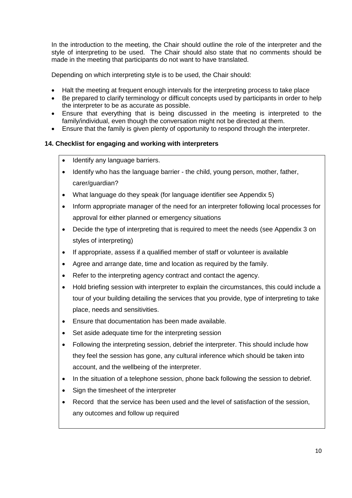In the introduction to the meeting, the Chair should outline the role of the interpreter and the style of interpreting to be used. The Chair should also state that no comments should be made in the meeting that participants do not want to have translated.

Depending on which interpreting style is to be used, the Chair should:

- Halt the meeting at frequent enough intervals for the interpreting process to take place
- Be prepared to clarify terminology or difficult concepts used by participants in order to help the interpreter to be as accurate as possible.
- Ensure that everything that is being discussed in the meeting is interpreted to the family/individual, even though the conversation might not be directed at them.
- Ensure that the family is given plenty of opportunity to respond through the interpreter.

## **14. Checklist for engaging and working with interpreters**

- Identify any language barriers.
- Identify who has the language barrier the child, young person, mother, father, carer/guardian?
- What language do they speak (for language identifier see Appendix 5)
- Inform appropriate manager of the need for an interpreter following local processes for approval for either planned or emergency situations
- Decide the type of interpreting that is required to meet the needs (see Appendix 3 on styles of interpreting)
- If appropriate, assess if a qualified member of staff or volunteer is available
- Agree and arrange date, time and location as required by the family.
- Refer to the interpreting agency contract and contact the agency.
- Hold briefing session with interpreter to explain the circumstances, this could include a tour of your building detailing the services that you provide, type of interpreting to take place, needs and sensitivities.
- Ensure that documentation has been made available.
- Set aside adequate time for the interpreting session
- Following the interpreting session, debrief the interpreter. This should include how they feel the session has gone, any cultural inference which should be taken into account, and the wellbeing of the interpreter.
- In the situation of a telephone session, phone back following the session to debrief.
- Sign the timesheet of the interpreter
- Record that the service has been used and the level of satisfaction of the session, any outcomes and follow up required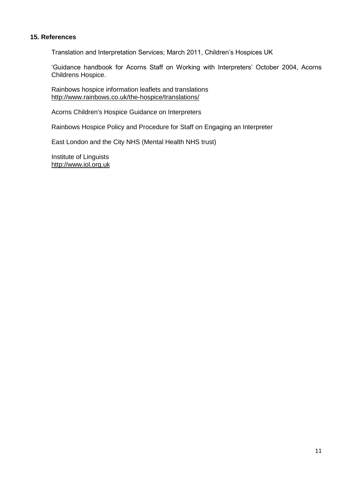#### **15. References**

Translation and Interpretation Services; March 2011, Children's Hospices UK

'Guidance handbook for Acorns Staff on Working with Interpreters' October 2004, Acorns Childrens Hospice.

Rainbows hospice information leaflets and translations <http://www.rainbows.co.uk/the-hospice/translations/>

Acorns Children's Hospice Guidance on Interpreters

Rainbows Hospice Policy and Procedure for Staff on Engaging an Interpreter

East London and the City NHS (Mental Health NHS trust)

Institute of Linguists [http://www.iol.org.uk](http://www.iol.org.uk/)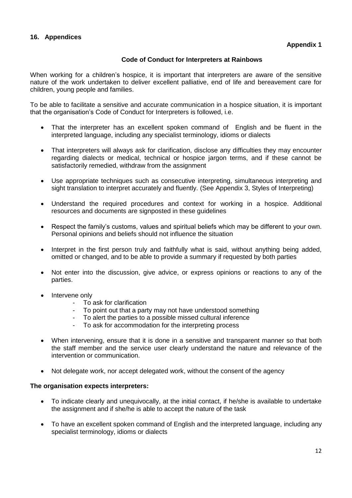## **Code of Conduct for Interpreters at Rainbows**

When working for a children's hospice, it is important that interpreters are aware of the sensitive nature of the work undertaken to deliver excellent palliative, end of life and bereavement care for children, young people and families.

To be able to facilitate a sensitive and accurate communication in a hospice situation, it is important that the organisation's Code of Conduct for Interpreters is followed, i.e.

- That the interpreter has an excellent spoken command of English and be fluent in the interpreted language, including any specialist terminology, idioms or dialects
- That interpreters will always ask for clarification, disclose any difficulties they may encounter regarding dialects or medical, technical or hospice jargon terms, and if these cannot be satisfactorily remedied, withdraw from the assignment
- Use appropriate techniques such as consecutive interpreting, simultaneous interpreting and sight translation to interpret accurately and fluently. (See Appendix 3, Styles of Interpreting)
- Understand the required procedures and context for working in a hospice. Additional resources and documents are signposted in these guidelines
- Respect the family's customs, values and spiritual beliefs which may be different to your own. Personal opinions and beliefs should not influence the situation
- Interpret in the first person truly and faithfully what is said, without anything being added, omitted or changed, and to be able to provide a summary if requested by both parties
- Not enter into the discussion, give advice, or express opinions or reactions to any of the parties.
- Intervene only
	- To ask for clarification
	- To point out that a party may not have understood something
	- To alert the parties to a possible missed cultural inference
	- To ask for accommodation for the interpreting process
- When intervening, ensure that it is done in a sensitive and transparent manner so that both the staff member and the service user clearly understand the nature and relevance of the intervention or communication.
- Not delegate work, nor accept delegated work, without the consent of the agency

## **The organisation expects interpreters:**

- To indicate clearly and unequivocally, at the initial contact, if he/she is available to undertake the assignment and if she/he is able to accept the nature of the task
- To have an excellent spoken command of English and the interpreted language, including any specialist terminology, idioms or dialects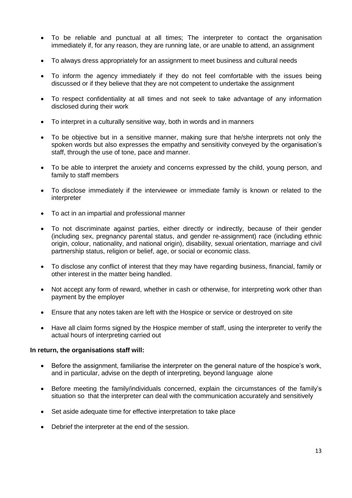- To be reliable and punctual at all times; The interpreter to contact the organisation immediately if, for any reason, they are running late, or are unable to attend, an assignment
- To always dress appropriately for an assignment to meet business and cultural needs
- To inform the agency immediately if they do not feel comfortable with the issues being discussed or if they believe that they are not competent to undertake the assignment
- To respect confidentiality at all times and not seek to take advantage of any information disclosed during their work
- To interpret in a culturally sensitive way, both in words and in manners
- To be objective but in a sensitive manner, making sure that he/she interprets not only the spoken words but also expresses the empathy and sensitivity conveyed by the organisation's staff, through the use of tone, pace and manner.
- To be able to interpret the anxiety and concerns expressed by the child, young person, and family to staff members
- To disclose immediately if the interviewee or immediate family is known or related to the interpreter
- To act in an impartial and professional manner
- To not discriminate against parties, either directly or indirectly, because of their gender (including sex, pregnancy parental status, and gender re-assignment) race (including ethnic origin, colour, nationality, and national origin), disability, sexual orientation, marriage and civil partnership status, religion or belief, age, or social or economic class.
- To disclose any conflict of interest that they may have regarding business, financial, family or other interest in the matter being handled.
- Not accept any form of reward, whether in cash or otherwise, for interpreting work other than payment by the employer
- Ensure that any notes taken are left with the Hospice or service or destroyed on site
- Have all claim forms signed by the Hospice member of staff, using the interpreter to verify the actual hours of interpreting carried out

#### **In return, the organisations staff will:**

- Before the assignment, familiarise the interpreter on the general nature of the hospice's work, and in particular, advise on the depth of interpreting, beyond language alone
- Before meeting the family/individuals concerned, explain the circumstances of the family's situation so that the interpreter can deal with the communication accurately and sensitively
- Set aside adequate time for effective interpretation to take place
- Debrief the interpreter at the end of the session.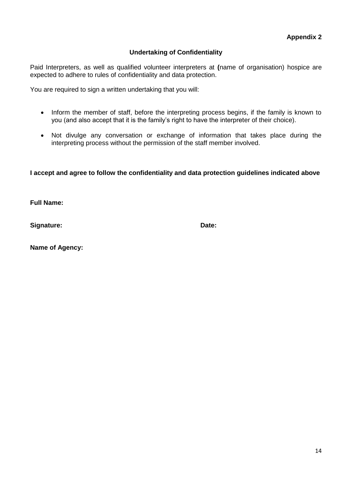## **Undertaking of Confidentiality**

Paid Interpreters, as well as qualified volunteer interpreters at **(**name of organisation) hospice are expected to adhere to rules of confidentiality and data protection.

You are required to sign a written undertaking that you will:

- Inform the member of staff, before the interpreting process begins, if the family is known to you (and also accept that it is the family's right to have the interpreter of their choice).
- Not divulge any conversation or exchange of information that takes place during the interpreting process without the permission of the staff member involved.

**I accept and agree to follow the confidentiality and data protection guidelines indicated above** 

**Full Name:**

**Signature: Date:**

**Name of Agency:**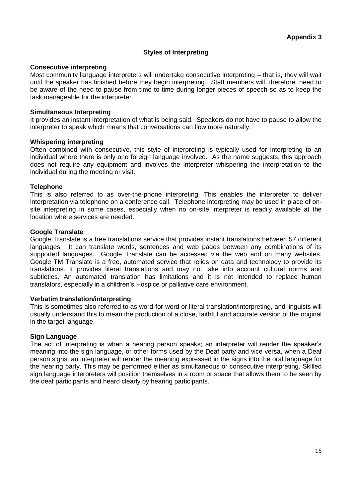## **Styles of Interpreting**

#### **Consecutive interpreting**

Most community language interpreters will undertake consecutive interpreting – that is, they will wait until the speaker has finished before they begin interpreting. Staff members will, therefore, need to be aware of the need to pause from time to time during longer pieces of speech so as to keep the task manageable for the interpreter.

#### **Simultaneous Interpreting**

It provides an instant interpretation of what is being said. Speakers do not have to pause to allow the interpreter to speak which means that conversations can flow more naturally.

#### **Whispering interpreting**

Often combined with consecutive, this style of interpreting is typically used for interpreting to an individual where there is only one foreign language involved. As the name suggests, this approach does not require any equipment and involves the interpreter whispering the interpretation to the individual during the meeting or visit.

#### **Telephone**

This is also referred to as over-the-phone interpreting. This enables the interpreter to deliver interpretation via telephone on a conference call. Telephone interpreting may be used in place of onsite interpreting in some cases, especially when no on-site interpreter is readily available at the location where services are needed.

#### **Google Translate**

Google Translate is a free translations service that provides instant translations between 57 different languages. It can translate words, sentences and web pages between any combinations of its supported languages. Google Translate can be accessed via the web and on many websites. Google TM Translate is a free, automated service that relies on data and technology to provide its translations. It provides literal translations and may not take into account cultural norms and subtleties. An automated translation has limitations and it is not intended to replace human translators, especially in a children's Hospice or palliative care environment.

#### **Verbatim translation/interpreting**

This is sometimes also referred to as word-for-word or literal translation/interpreting, and linguists will usually understand this to mean the production of a close, faithful and accurate version of the original in the target language.

## **Sign Language**

The act of interpreting is when a hearing person speaks; an interpreter will render the speaker's meaning into the sign language, or other forms used by the Deaf party and vice versa, when a Deaf person signs, an interpreter will render the meaning expressed in the signs into the oral language for the hearing party. This may be performed either as simultaneous or consecutive interpreting. Skilled sign language interpreters will position themselves in a room or space that allows them to be seen by the deaf participants and heard clearly by hearing participants.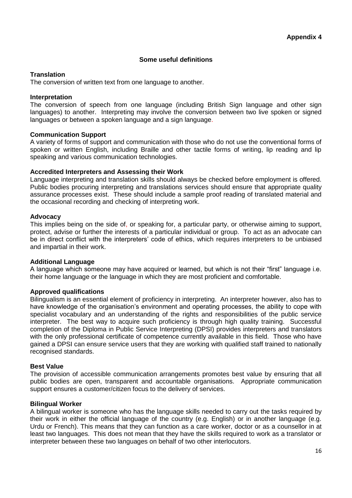## **Some useful definitions**

### **Translation**

The conversion of written text from one language to another.

#### **Interpretation**

The conversion of speech from one language (including British Sign language and other sign languages) to another. Interpreting may involve the conversion between two live spoken or signed languages or between a spoken language and a sign language.

#### **Communication Support**

A variety of forms of support and communication with those who do not use the conventional forms of spoken or written English, including Braille and other tactile forms of writing, lip reading and lip speaking and various communication technologies.

#### **Accredited Interpreters and Assessing their Work**

Language interpreting and translation skills should always be checked before employment is offered. Public bodies procuring interpreting and translations services should ensure that appropriate quality assurance processes exist. These should include a sample proof reading of translated material and the occasional recording and checking of interpreting work.

#### **Advocacy**

This implies being on the side of, or speaking for, a particular party, or otherwise aiming to support, protect, advise or further the interests of a particular individual or group. To act as an advocate can be in direct conflict with the interpreters' code of ethics, which requires interpreters to be unbiased and impartial in their work.

#### **Additional Language**

A language which someone may have acquired or learned, but which is not their "first" language i.e. their home language or the language in which they are most proficient and comfortable.

#### **Approved qualifications**

Bilingualism is an essential element of proficiency in interpreting. An interpreter however, also has to have knowledge of the organisation's environment and operating processes, the ability to cope with specialist vocabulary and an understanding of the rights and responsibilities of the public service interpreter. The best way to acquire such proficiency is through high quality training. Successful completion of the Diploma in Public Service Interpreting (DPSI) provides interpreters and translators with the only professional certificate of competence currently available in this field. Those who have gained a DPSI can ensure service users that they are working with qualified staff trained to nationally recognised standards.

#### **Best Value**

The provision of accessible communication arrangements promotes best value by ensuring that all public bodies are open, transparent and accountable organisations. Appropriate communication support ensures a customer/citizen focus to the delivery of services.

## **Bilingual Worker**

A bilingual worker is someone who has the language skills needed to carry out the tasks required by their work in either the official language of the country (e.g. English) or in another language (e.g. Urdu or French). This means that they can function as a care worker, doctor or as a counsellor in at least two languages. This does not mean that they have the skills required to work as a translator or interpreter between these two languages on behalf of two other interlocutors.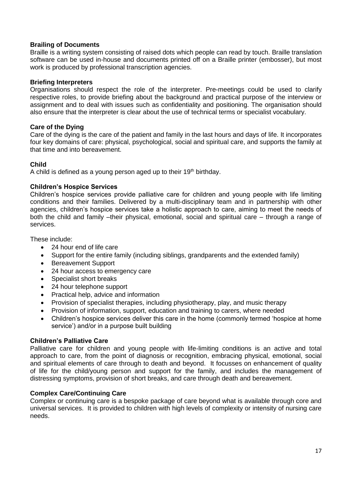## **Brailing of Documents**

Braille is a writing system consisting of raised dots which people can read by touch. Braille translation software can be used in-house and documents printed off on a Braille printer (embosser), but most work is produced by professional transcription agencies.

#### **Briefing Interpreters**

Organisations should respect the role of the interpreter. Pre-meetings could be used to clarify respective roles, to provide briefing about the background and practical purpose of the interview or assignment and to deal with issues such as confidentiality and positioning. The organisation should also ensure that the interpreter is clear about the use of technical terms or specialist vocabulary.

#### **Care of the Dying**

Care of the dying is the care of the patient and family in the last hours and days of life. It incorporates four key domains of care: physical, psychological, social and spiritual care, and supports the family at that time and into bereavement.

#### **Child**

A child is defined as a young person aged up to their  $19<sup>th</sup>$  birthday.

#### **Children's Hospice Services**

Children's hospice services provide palliative care for children and young people with life limiting conditions and their families. Delivered by a multi-disciplinary team and in partnership with other agencies, children's hospice services take a holistic approach to care, aiming to meet the needs of both the child and family –their physical, emotional, social and spiritual care – through a range of services.

These include:

- 24 hour end of life care
- Support for the entire family (including siblings, grandparents and the extended family)
- Bereavement Support
- 24 hour access to emergency care
- Specialist short breaks
- 24 hour telephone support
- Practical help, advice and information
- Provision of specialist therapies, including physiotherapy, play, and music therapy
- Provision of information, support, education and training to carers, where needed
- Children's hospice services deliver this care in the home (commonly termed 'hospice at home service') and/or in a purpose built building

## **Children's Palliative Care**

Palliative care for children and young people with life-limiting conditions is an active and total approach to care, from the point of diagnosis or recognition, embracing physical, emotional, social and spiritual elements of care through to death and beyond. It focusses on enhancement of quality of life for the child/young person and support for the family, and includes the management of distressing symptoms, provision of short breaks, and care through death and bereavement.

## **Complex Care/Continuing Care**

Complex or continuing care is a bespoke package of care beyond what is available through core and universal services. It is provided to children with high levels of complexity or intensity of nursing care needs.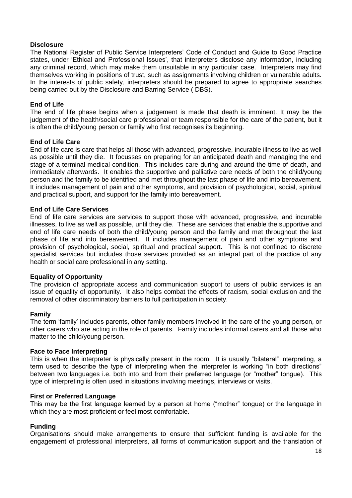#### **Disclosure**

The National Register of Public Service Interpreters' Code of Conduct and Guide to Good Practice states, under 'Ethical and Professional Issues', that interpreters disclose any information, including any criminal record, which may make them unsuitable in any particular case. Interpreters may find themselves working in positions of trust, such as assignments involving children or vulnerable adults. In the interests of public safety, interpreters should be prepared to agree to appropriate searches being carried out by the Disclosure and Barring Service ( DBS).

#### **End of Life**

The end of life phase begins when a judgement is made that death is imminent. It may be the judgement of the health/social care professional or team responsible for the care of the patient, but it is often the child/young person or family who first recognises its beginning.

#### **End of Life Care**

End of life care is care that helps all those with advanced, progressive, incurable illness to live as well as possible until they die. It focusses on preparing for an anticipated death and managing the end stage of a terminal medical condition. This includes care during and around the time of death, and immediately afterwards. It enables the supportive and palliative care needs of both the child/young person and the family to be identified and met throughout the last phase of life and into bereavement. It includes management of pain and other symptoms, and provision of psychological, social, spiritual and practical support, and support for the family into bereavement.

#### **End of Life Care Services**

End of life care services are services to support those with advanced, progressive, and incurable illnesses, to live as well as possible, until they die. These are services that enable the supportive and end of life care needs of both the child/young person and the family and met throughout the last phase of life and into bereavement. It includes management of pain and other symptoms and provision of psychological, social, spiritual and practical support. This is not confined to discrete specialist services but includes those services provided as an integral part of the practice of any health or social care professional in any setting.

#### **Equality of Opportunity**

The provision of appropriate access and communication support to users of public services is an issue of equality of opportunity. It also helps combat the effects of racism, social exclusion and the removal of other discriminatory barriers to full participation in society.

#### **Family**

The term 'family' includes parents, other family members involved in the care of the young person, or other carers who are acting in the role of parents. Family includes informal carers and all those who matter to the child/young person.

#### **Face to Face Interpreting**

This is when the interpreter is physically present in the room. It is usually "bilateral" interpreting, a term used to describe the type of interpreting when the interpreter is working "in both directions" between two languages i.e. both into and from their preferred language (or "mother" tongue). This type of interpreting is often used in situations involving meetings, interviews or visits.

#### **First or Preferred Language**

This may be the first language learned by a person at home ("mother" tongue) or the language in which they are most proficient or feel most comfortable.

#### **Funding**

Organisations should make arrangements to ensure that sufficient funding is available for the engagement of professional interpreters, all forms of communication support and the translation of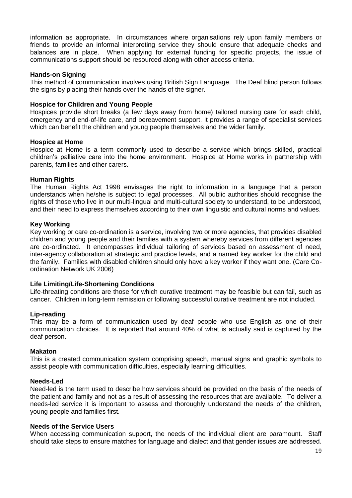information as appropriate. In circumstances where organisations rely upon family members or friends to provide an informal interpreting service they should ensure that adequate checks and balances are in place. When applying for external funding for specific projects, the issue of communications support should be resourced along with other access criteria.

### **Hands-on Signing**

This method of communication involves using British Sign Language. The Deaf blind person follows the signs by placing their hands over the hands of the signer.

### **Hospice for Children and Young People**

Hospices provide short breaks (a few days away from home) tailored nursing care for each child, emergency and end-of-life care, and bereavement support. It provides a range of specialist services which can benefit the children and young people themselves and the wider family.

#### **Hospice at Home**

Hospice at Home is a term commonly used to describe a service which brings skilled, practical children's palliative care into the home environment. Hospice at Home works in partnership with parents, families and other carers.

#### **Human Rights**

The Human Rights Act 1998 envisages the right to information in a language that a person understands when he/she is subject to legal processes. All public authorities should recognise the rights of those who live in our multi-lingual and multi-cultural society to understand, to be understood, and their need to express themselves according to their own linguistic and cultural norms and values.

#### **Key Working**

Key working or care co-ordination is a service, involving two or more agencies, that provides disabled children and young people and their families with a system whereby services from different agencies are co-ordinated. It encompasses individual tailoring of services based on assessment of need, inter-agency collaboration at strategic and practice levels, and a named key worker for the child and the family. Families with disabled children should only have a key worker if they want one. (Care Coordination Network UK 2006)

## **Life Limiting/Life-Shortening Conditions**

Life-threating conditions are those for which curative treatment may be feasible but can fail, such as cancer. Children in long-term remission or following successful curative treatment are not included.

#### **Lip-reading**

This may be a form of communication used by deaf people who use English as one of their communication choices. It is reported that around 40% of what is actually said is captured by the deaf person.

#### **Makaton**

This is a created communication system comprising speech, manual signs and graphic symbols to assist people with communication difficulties, especially learning difficulties.

#### **Needs-Led**

Need-led is the term used to describe how services should be provided on the basis of the needs of the patient and family and not as a result of assessing the resources that are available. To deliver a needs-led service it is important to assess and thoroughly understand the needs of the children, young people and families first.

#### **Needs of the Service Users**

When accessing communication support, the needs of the individual client are paramount. Staff should take steps to ensure matches for language and dialect and that gender issues are addressed.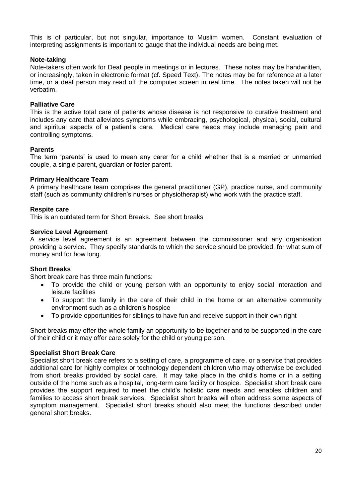This is of particular, but not singular, importance to Muslim women. Constant evaluation of interpreting assignments is important to gauge that the individual needs are being met.

### **Note-taking**

Note-takers often work for Deaf people in meetings or in lectures. These notes may be handwritten, or increasingly, taken in electronic format (cf. Speed Text). The notes may be for reference at a later time, or a deaf person may read off the computer screen in real time. The notes taken will not be verbatim.

#### **Palliative Care**

This is the active total care of patients whose disease is not responsive to curative treatment and includes any care that alleviates symptoms while embracing, psychological, physical, social, cultural and spiritual aspects of a patient's care. Medical care needs may include managing pain and controlling symptoms.

#### **Parents**

The term 'parents' is used to mean any carer for a child whether that is a married or unmarried couple, a single parent, guardian or foster parent.

#### **Primary Healthcare Team**

A primary healthcare team comprises the general practitioner (GP), practice nurse, and community staff (such as community children's nurses or physiotherapist) who work with the practice staff.

#### **Respite care**

This is an outdated term for Short Breaks. See short breaks

#### **Service Level Agreement**

A service level agreement is an agreement between the commissioner and any organisation providing a service. They specify standards to which the service should be provided, for what sum of money and for how long.

#### **Short Breaks**

Short break care has three main functions:

- To provide the child or young person with an opportunity to enjoy social interaction and leisure facilities
- To support the family in the care of their child in the home or an alternative community environment such as a children's hospice
- To provide opportunities for siblings to have fun and receive support in their own right

Short breaks may offer the whole family an opportunity to be together and to be supported in the care of their child or it may offer care solely for the child or young person.

#### **Specialist Short Break Care**

Specialist short break care refers to a setting of care, a programme of care, or a service that provides additional care for highly complex or technology dependent children who may otherwise be excluded from short breaks provided by social care. It may take place in the child's home or in a setting outside of the home such as a hospital, long-term care facility or hospice. Specialist short break care provides the support required to meet the child's holistic care needs and enables children and families to access short break services. Specialist short breaks will often address some aspects of symptom management. Specialist short breaks should also meet the functions described under general short breaks.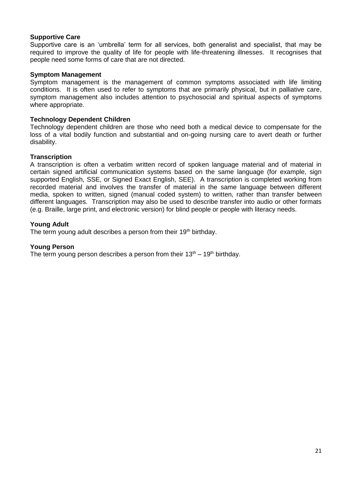#### **Supportive Care**

Supportive care is an 'umbrella' term for all services, both generalist and specialist, that may be required to improve the quality of life for people with life-threatening illnesses. It recognises that people need some forms of care that are not directed.

#### **Symptom Management**

Symptom management is the management of common symptoms associated with life limiting conditions. It is often used to refer to symptoms that are primarily physical, but in palliative care, symptom management also includes attention to psychosocial and spiritual aspects of symptoms where appropriate.

#### **Technology Dependent Children**

Technology dependent children are those who need both a medical device to compensate for the loss of a vital bodily function and substantial and on-going nursing care to avert death or further disability.

#### **Transcription**

A transcription is often a verbatim written record of spoken language material and of material in certain signed artificial communication systems based on the same language (for example, sign supported English, SSE, or Signed Exact English, SEE). A transcription is completed working from recorded material and involves the transfer of material in the same language between different media, spoken to written, signed (manual coded system) to written, rather than transfer between different languages. Transcription may also be used to describe transfer into audio or other formats (e.g. Braille, large print, and electronic version) for blind people or people with literacy needs.

#### **Young Adult**

The term young adult describes a person from their 19<sup>th</sup> birthday.

#### **Young Person**

The term young person describes a person from their  $13<sup>th</sup> - 19<sup>th</sup>$  birthday.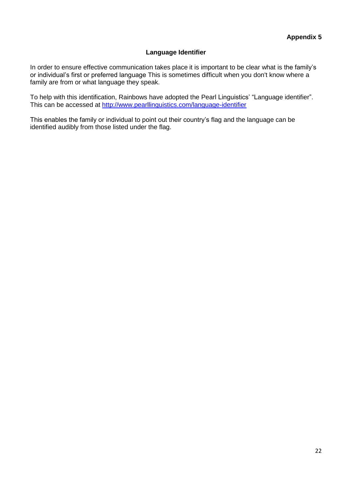## **Language Identifier**

In order to ensure effective communication takes place it is important to be clear what is the family's or individual's first or preferred language This is sometimes difficult when you don't know where a family are from or what language they speak.

To help with this identification, Rainbows have adopted the Pearl Linguistics' "Language identifier". This can be accessed at<http://www.pearllinguistics.com/language-identifier>

This enables the family or individual to point out their country's flag and the language can be identified audibly from those listed under the flag.